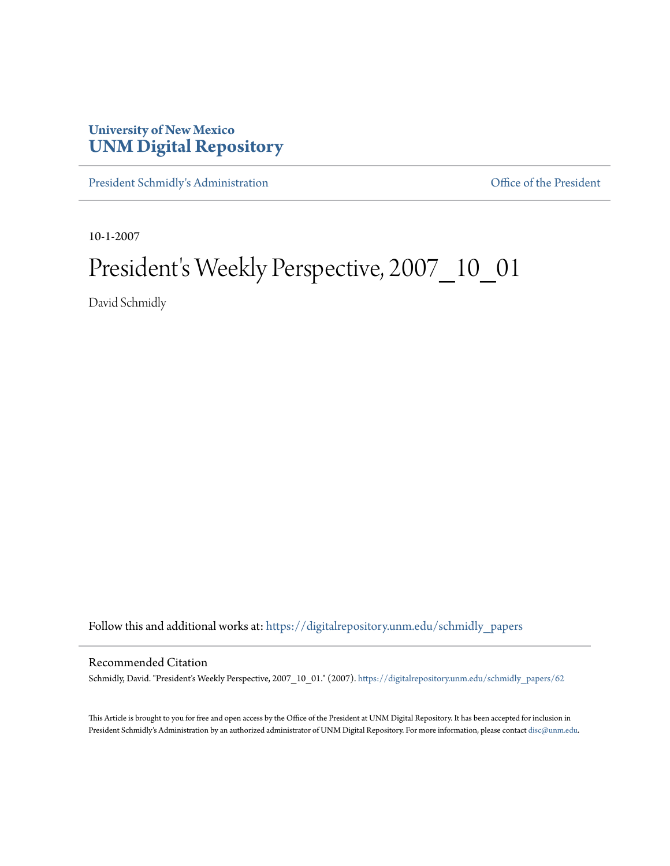## **University of New Mexico [UNM Digital Repository](https://digitalrepository.unm.edu?utm_source=digitalrepository.unm.edu%2Fschmidly_papers%2F62&utm_medium=PDF&utm_campaign=PDFCoverPages)**

[President Schmidly's Administration](https://digitalrepository.unm.edu/schmidly_papers?utm_source=digitalrepository.unm.edu%2Fschmidly_papers%2F62&utm_medium=PDF&utm_campaign=PDFCoverPages) [Office of the President](https://digitalrepository.unm.edu/ofc_president?utm_source=digitalrepository.unm.edu%2Fschmidly_papers%2F62&utm_medium=PDF&utm_campaign=PDFCoverPages)

10-1-2007

## President's Weekly Perspective, 2007\_10\_01

David Schmidly

Follow this and additional works at: [https://digitalrepository.unm.edu/schmidly\\_papers](https://digitalrepository.unm.edu/schmidly_papers?utm_source=digitalrepository.unm.edu%2Fschmidly_papers%2F62&utm_medium=PDF&utm_campaign=PDFCoverPages)

## Recommended Citation

Schmidly, David. "President's Weekly Perspective, 2007\_10\_01." (2007). [https://digitalrepository.unm.edu/schmidly\\_papers/62](https://digitalrepository.unm.edu/schmidly_papers/62?utm_source=digitalrepository.unm.edu%2Fschmidly_papers%2F62&utm_medium=PDF&utm_campaign=PDFCoverPages)

This Article is brought to you for free and open access by the Office of the President at UNM Digital Repository. It has been accepted for inclusion in President Schmidly's Administration by an authorized administrator of UNM Digital Repository. For more information, please contact [disc@unm.edu](mailto:disc@unm.edu).